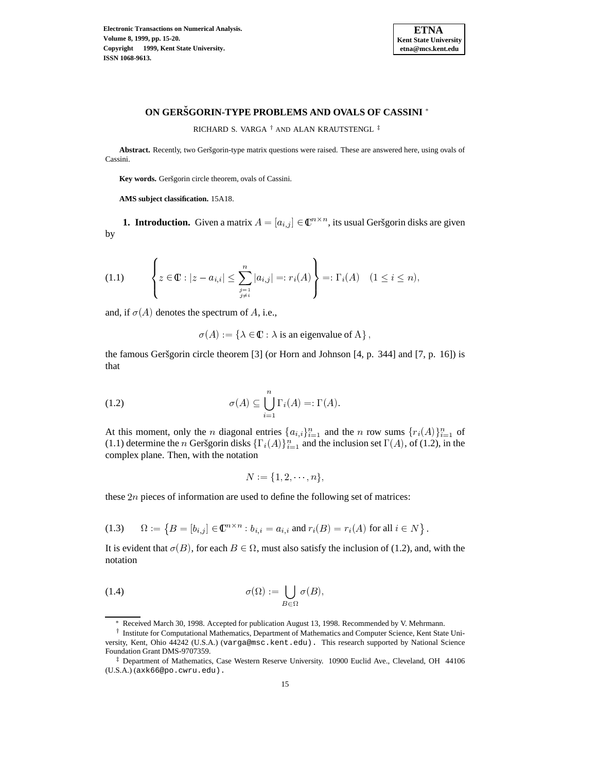

# **ON GERSGORIN-TYPE ˇ PROBLEMS AND OVALS OF CASSINI**

RICHARD S. VARGA $^\dagger$  and ALAN KRAUTSTENGL

Abstract. Recently, two Geršgorin-type matrix questions were raised. These are answered here, using ovals of Cassini.

Key words. Geršgorin circle theorem, ovals of Cassini.

**AMS subject classification.** 15A18.

**1. Introduction.** Given a matrix  $A = [a_{i,j}] \in \mathbb{C}^{n \times n}$ , its usual Geršgorin disks are given by

$$
(1.1) \qquad \left\{ z \in \mathbb{C} : |z - a_{i,i}| \leq \sum_{\substack{j=1 \ j \neq i}}^n |a_{i,j}| =: r_i(A) \right\} =: \Gamma_i(A) \quad (1 \leq i \leq n),
$$

and, if  $\sigma(A)$  denotes the spectrum of A, i.e.,

 $\sigma(A) := \{ \lambda \in \mathbb{C} : \lambda \text{ is an eigenvalue of } A \},$ 

the famous Geršgorin circle theorem  $[3]$  (or Horn and Johnson  $[4, p. 344]$  and  $[7, p. 16]$ ) is that

(1.2) 
$$
\sigma(A) \subseteq \bigcup_{i=1}^{n} \Gamma_{i}(A) =: \Gamma(A).
$$

At this moment, only the n diagonal entries  $\{a_{i,i}\}_{i=1}^n$  and the n row sums  $\{r_i(A)\}_{i=1}^n$  of (1.1) determine the n Geršgorin disks  $\{\Gamma_i(A)\}_{i=1}^n$  and the inclusion set  $\Gamma(A)$ , of (1.2), in the complex plane. Then, with the notation

$$
N := \{1, 2, \cdots, n\},\
$$

these  $2n$  pieces of information are used to define the following set of matrices:

(1.3) 
$$
\Omega := \left\{ B = [b_{i,j}] \in \mathbb{C}^{n \times n} : b_{i,i} = a_{i,i} \text{ and } r_i(B) = r_i(A) \text{ for all } i \in N \right\}.
$$

It is evident that  $\sigma(B)$ , for each  $B \in \Omega$ , must also satisfy the inclusion of (1.2), and, with the notation

(1.4) 
$$
\sigma(\Omega) := \bigcup_{B \in \Omega} \sigma(B),
$$

<sup>e</sup> Received March 30, 1998. Accepted for publication August 13, 1998. Recommended by V. Mehrmann.

<sup>&</sup>lt;sup>†</sup> Institute for Computational Mathematics, Department of Mathematics and Computer Science, Kent State University, Kent, Ohio 44242 (U.S.A.) (varga@msc.kent.edu). This research supported by National Science Foundation Grant DMS-9707359.

<sup>-</sup> Department of Mathematics, Case Western Reserve University. 10900 Euclid Ave., Cleveland, OH 44106 (U.S.A.) (axk66@po.cwru.edu).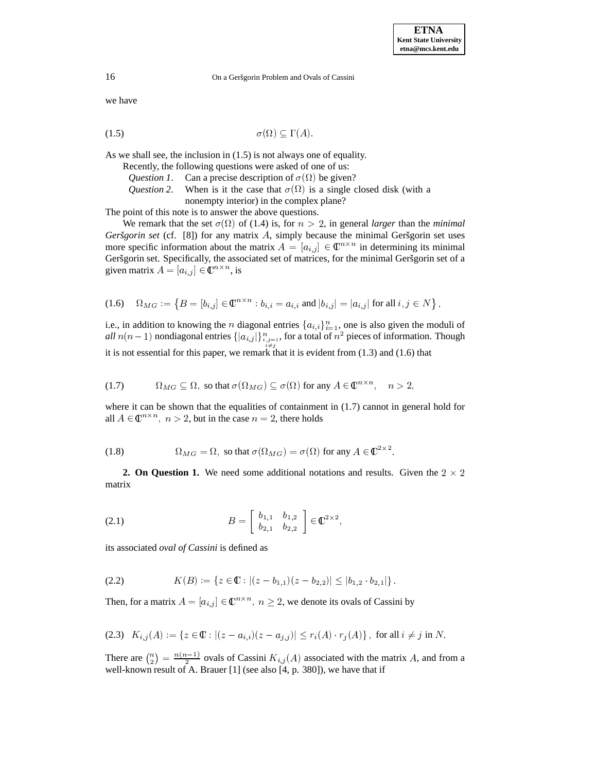16 On a Geršgorin Problem and Ovals of Cassini

we have

$$
\sigma(\Omega) \subseteq \Gamma(A).
$$

As we shall see, the inclusion in (1.5) is not always one of equality.

|  |  | Recently, the following questions were asked of one of us: |
|--|--|------------------------------------------------------------|
|--|--|------------------------------------------------------------|

- *Question 1*. Can a precise description of  $\sigma(\Omega)$  be given?
- *Question* 2. When is it the case that  $\sigma(\Omega)$  is a single closed disk (with a nonempty interior) in the complex plane?

The point of this note is to answer the above questions.

We remark that the set  $\sigma(\Omega)$  of (1.4) is, for  $n > 2$ , in general *larger* than the *minimal Geršgorin set* (cf.  $[8]$ ) for any matrix A, simply because the minimal Geršgorin set uses more specific information about the matrix  $A = [a_{i,j}] \in \mathbb{C}^{n \times n}$  in determining its minimal Geršgorin set. Specifically, the associated set of matrices, for the minimal Geršgorin set of a given matrix  $A = [a_{i,j}] \in \mathbb{C}^{n \times n}$ , is

$$
(1.6) \quad \Omega_{MG} := \left\{ B = [b_{i,j}] \in \mathbb{C}^{n \times n} : b_{i,i} = a_{i,i} \text{ and } |b_{i,j}| = |a_{i,j}| \text{ for all } i,j \in N \right\},\
$$

i.e., in addition to knowing the n diagonal entries  $\{a_{i,i}\}_{i=1}^n$ , one is also given the moduli of *all*  $n(n-1)$  nondiagonal entries  $\{|a_{i,j}|\}_{i,j=1}^n$ , for a total of  $n^2$  pieces of information. Though ,o\*&\$% it is not essential for this paper, we remark that it is evident from (1.3) and (1.6) that

(1.7) 
$$
\Omega_{MG} \subseteq \Omega, \text{ so that } \sigma(\Omega_{MG}) \subseteq \sigma(\Omega) \text{ for any } A \in \mathbb{C}^{n \times n}, \quad n > 2,
$$

where it can be shown that the equalities of containment in  $(1.7)$  cannot in general hold for all  $A \in \mathbb{C}^{n \times n}$ ,  $n > 2$ , but in the case  $n = 2$ , there holds

(1.8) 
$$
\Omega_{MG} = \Omega, \text{ so that } \sigma(\Omega_{MG}) = \sigma(\Omega) \text{ for any } A \in \mathbb{C}^{2 \times 2}.
$$

**2. On Question 1.** We need some additional notations and results. Given the  $2 \times 2$ matrix

(2.1) 
$$
B = \begin{bmatrix} b_{1,1} & b_{1,2} \\ b_{2,1} & b_{2,2} \end{bmatrix} \in \mathbb{C}^{2 \times 2},
$$

its associated *oval of Cassini* is defined as

$$
(2.2) \t K(B) := \{ z \in \mathbb{C} : |(z - b_{1,1})(z - b_{2,2})| \leq |b_{1,2} \cdot b_{2,1}| \}.
$$

Then, for a matrix  $A = [a_{i,j}] \in \mathbb{C}^{n \times n}$ ,  $n \geq 2$ , we denote its ovals of Cassini by

$$
(2.3) \quad K_{i,j}(A) := \{ z \in \mathbb{C} : |(z - a_{i,i})(z - a_{j,j})| \le r_i(A) \cdot r_j(A) \}, \text{ for all } i \ne j \text{ in } N.
$$

There are  $\binom{n}{2} = \frac{n(n-1)}{2}$  $=\frac{n(n-1)}{2}$  ovals of Cassini  $K_{i,j}(A)$  associated with the matrix A, and from a well-known result of A. Brauer [1] (see also [4, p. 380]), we have that if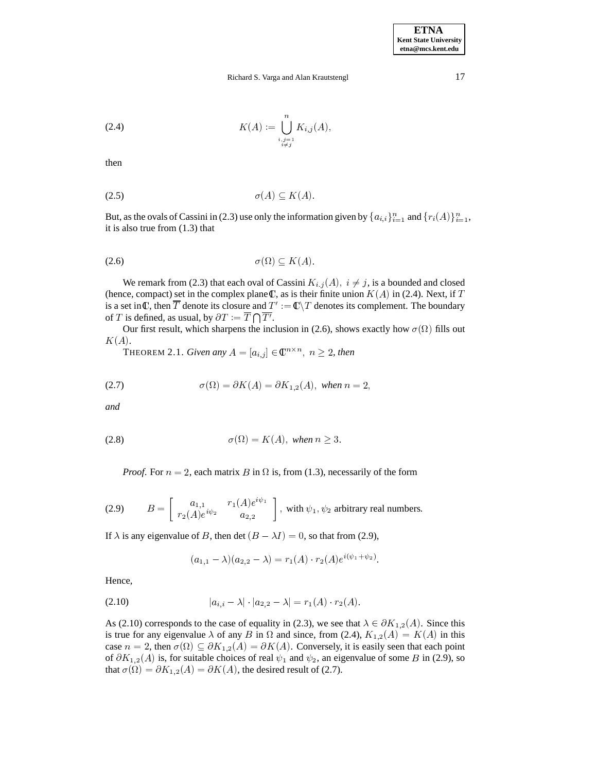## Richard S. Varga and Alan Krautstengl 17

(2.4) 
$$
K(A) := \bigcup_{\substack{i,j=1 \ i \neq j}}^{n} K_{i,j}(A),
$$

then

$$
\sigma(A) \subseteq K(A).
$$

But, as the ovals of Cassini in (2.3) use only the information given by  $\{a_{i,i}\}_{i=1}^n$  and  $\{r_i(A)\}_{i=1}^n$ , it is also true from (1.3) that

$$
\sigma(\Omega) \subseteq K(A).
$$

We remark from (2.3) that each oval of Cassini  $K_{i,j}(A)$ ,  $i \neq j$ , is a bounded and closed (hence, compact) set in the complex plane  $\mathbb{C}$ , as is their finite union  $K(A)$  in (2.4). Next, if T is a set in  $\frak C$ , then  $\overline{T}$  denote its closure and  $T':=\frak C\backslash T$  denotes its complement. The boundary of T is defined, as usual, by  $\partial T := \overline{T} \bigcap \overline{T'}$ .

Our first result, which sharpens the inclusion in (2.6), shows exactly how  $\sigma(\Omega)$  fills out  $K(A).$ 

THEOREM 2.1. *Given any*  $A = [a_{i,j}] \in \mathbb{C}^{n \times n}$ ,  $n \geq 2$ , then

(2.7) 
$$
\sigma(\Omega) = \partial K(A) = \partial K_{1,2}(A), \text{ when } n = 2,
$$

*and*

$$
\sigma(\Omega) = K(A), \text{ when } n \ge 3.
$$

*Proof.* For  $n = 2$ , each matrix B in  $\Omega$  is, from (1.3), necessarily of the form

(2.9) 
$$
B = \begin{bmatrix} a_{1,1} & r_1(A)e^{i\psi_1} \\ r_2(A)e^{i\psi_2} & a_{2,2} \end{bmatrix}
$$
, with  $\psi_1, \psi_2$  arbitrary real numbers.

If  $\lambda$  is any eigenvalue of B, then det  $(B - \lambda I) = 0$ , so that from (2.9),

$$
(a_{1,1} - \lambda)(a_{2,2} - \lambda) = r_1(A) \cdot r_2(A)e^{i(\psi_1 + \psi_2)}.
$$

Hence,

$$
|a_{i,i} - \lambda| \cdot |a_{2,2} - \lambda| = r_1(A) \cdot r_2(A).
$$

As (2.10) corresponds to the case of equality in (2.3), we see that  $\lambda \in \partial K_{1,2}(A)$ . Since this is true for any eigenvalue  $\lambda$  of any B in  $\Omega$  and since, from (2.4),  $K_{1,2}(A) = K(A)$  in this case  $n = 2$ , then  $\sigma(\Omega) \subseteq \partial K_{1,2}(A) = \partial K(A)$ . Conversely, it is easily seen that each point of  $\partial K_{1,2}(A)$  is, for suitable choices of real  $\psi_1$  and  $\psi_2$ , an eigenvalue of some B in (2.9), so that  $\sigma(\Omega) = \partial K_{1,2}(A) = \partial K(A)$ , the desired result of (2.7).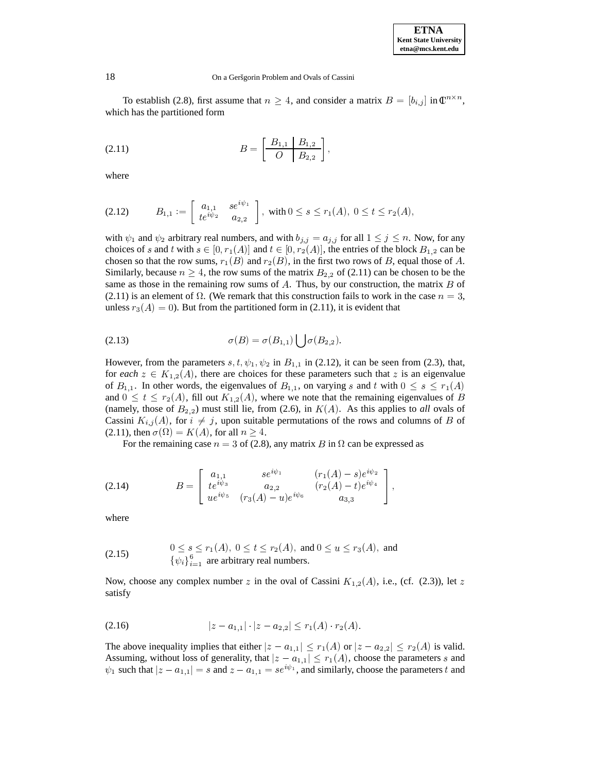## 18 On a Geršgorin Problem and Ovals of Cassini

To establish (2.8), first assume that  $n \geq 4$ , and consider a matrix  $B = [b_{i,j}]$  in  $\mathbb{C}^{n \times n}$ , which has the partitioned form

$$
(2.11) \t\t B = \left[\begin{array}{c|c} B_{1,1} & B_{1,2} \\ \hline O & B_{2,2} \end{array}\right],
$$

where

$$
(2.12) \t B_{1,1} := \begin{bmatrix} a_{1,1} & se^{i\psi_1} \\ te^{i\psi_2} & a_{2,2} \end{bmatrix}, \text{ with } 0 \le s \le r_1(A), \ 0 \le t \le r_2(A),
$$

with  $\psi_1$  and  $\psi_2$  arbitrary real numbers, and with  $b_{j,j} = a_{j,j}$  for all  $1 \leq j \leq n$ . Now, for any choices of s and t with  $s \in [0, r_1(A)]$  and  $t \in [0, r_2(A)]$ , the entries of the block  $B_{1,2}$  can be chosen so that the row sums,  $r_1(B)$  and  $r_2(B)$ , in the first two rows of B, equal those of A. Similarly, because  $n \geq 4$ , the row sums of the matrix  $B_{2,2}$  of (2.11) can be chosen to be the same as those in the remaining row sums of  $A$ . Thus, by our construction, the matrix  $B$  of (2.11) is an element of  $\Omega$ . (We remark that this construction fails to work in the case  $n = 3$ , unless  $r_3(A) = 0$ . But from the partitioned form in (2.11), it is evident that

$$
\sigma(B) = \sigma(B_{1,1}) \bigcup \sigma(B_{2,2}).
$$

However, from the parameters  $s, t, \psi_1, \psi_2$  in  $B_{1,1}$  in (2.12), it can be seen from (2.3), that, for *each*  $z \in K_{1,2}(A)$ , there are choices for these parameters such that z is an eigenvalue of  $B_{1,1}$ . In other words, the eigenvalues of  $B_{1,1}$ , on varying s and t with  $0 \leq s \leq r_1(A)$ and  $0 \leq t \leq r_2(A)$ , fill out  $K_{1,2}(A)$ , where we note that the remaining eigenvalues of B (namely, those of  $B_{2,2}$ ) must still lie, from (2.6), in  $K(A)$ . As this applies to *all* ovals of Cassini  $K_{i,j}(A)$ , for  $i \neq j$ , upon suitable permutations of the rows and columns of B of (2.11), then  $\sigma(\Omega) = K(A)$ , for all  $n \ge 4$ .

For the remaining case  $n = 3$  of (2.8), any matrix B in  $\Omega$  can be expressed as

(2.14) 
$$
B = \begin{bmatrix} a_{1,1} & se^{i\psi_1} & (r_1(A) - s)e^{i\psi_2} \ te^{i\psi_3} & a_{2,2} & (r_2(A) - t)e^{i\psi_4} \ ue^{i\psi_5} & (r_3(A) - u)e^{i\psi_6} & a_{3,3} \end{bmatrix},
$$

where

(2.15) 
$$
0 \leq s \leq r_1(A), 0 \leq t \leq r_2(A), \text{ and } 0 \leq u \leq r_3(A), \text{ and}
$$

$$
\{\psi_i\}_{i=1}^6 \text{ are arbitrary real numbers.}
$$

Now, choose any complex number z in the oval of Cassini  $K_{1,2}(A)$ , i.e., (cf. (2.3)), let z satisfy

$$
(2.16) \t\t |z - a_{1,1}| \cdot |z - a_{2,2}| \le r_1(A) \cdot r_2(A).
$$

The above inequality implies that either  $|z - a_{1,1}| \le r_1(A)$  or  $|z - a_{2,2}| \le r_2(A)$  is valid. Assuming, without loss of generality, that  $|z - a_{1,1}| \le r_1(A)$ , choose the parameters s and  $\psi_1$  such that  $|z - a_{1,1}| = s$  and  $z - a_{1,1} = se^{i\psi_1}$ , and similarly, choose the parameters t and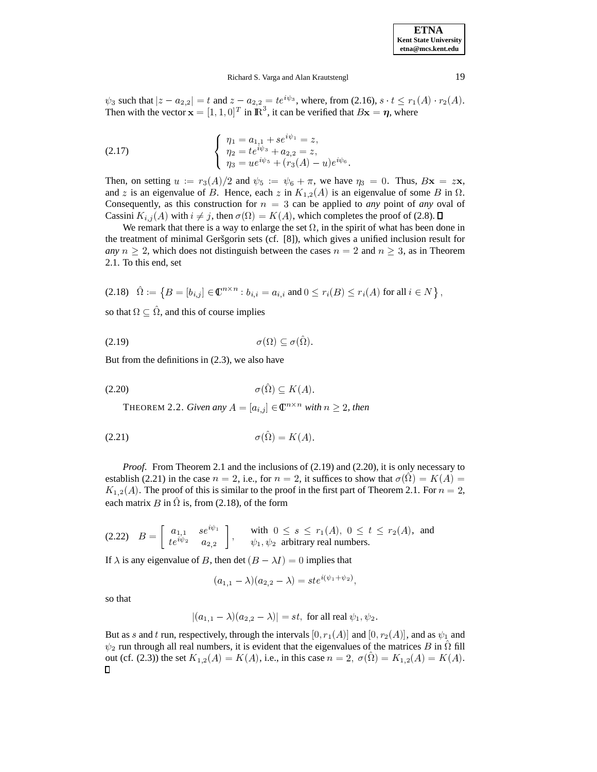## Richard S. Varga and Alan Krautstengl 19

 $\psi_3$  such that  $|z - a_{2,2}| = t$  and  $z - a_{2,2} = te^{i\psi_3}$ , where, from (2.16),  $s \cdot t \le r_1(A) \cdot r_2(A)$ . Then with the vector  $\mathbf{x} = [1, 1, 0]^T$  in  $\mathbb{R}^3$ , it can be verified that  $B\mathbf{x} = \eta$ , where

(2.17) 
$$
\begin{cases} \eta_1 = a_{1,1} + se^{i\psi_1} = z, \\ \eta_2 = te^{i\psi_3} + a_{2,2} = z, \\ \eta_3 = ue^{i\psi_5} + (r_3(A) - u)e^{i\psi_6}. \end{cases}
$$

Then, on setting  $u := r_3(A)/2$  and  $\psi_5 := \psi_6 + \pi$ , we have  $\eta_3 = 0$ . Thus,  $Bx = zx$ , and z is an eigenvalue of B. Hence, each z in  $K_{1,2}(A)$  is an eigenvalue of some B in  $\Omega$ . Consequently, as this construction for  $n = 3$  can be applied to *any* point of *any* oval of Cassini  $K_{i,j}(A)$  with  $i \neq j$ , then  $\sigma(\Omega) = K(A)$ , which completes the proof of (2.8).

We remark that there is a way to enlarge the set  $\Omega$ , in the spirit of what has been done in the treatment of minimal Geršgorin sets (cf. [8]), which gives a unified inclusion result for *any*  $n \geq 2$ , which does not distinguish between the cases  $n = 2$  and  $n \geq 3$ , as in Theorem 2.1. To this end, set

$$
(2.18) \quad \hat{\Omega} := \left\{ B = [b_{i,j}] \in \mathbb{C}^{n \times n} : b_{i,i} = a_{i,i} \text{ and } 0 \leq r_i(B) \leq r_i(A) \text{ for all } i \in N \right\},\
$$

so that  $\Omega \subseteq \hat{\Omega}$ , and this of course implies

$$
\sigma(\Omega) \subseteq \sigma(\hat{\Omega}).
$$

But from the definitions in (2.3), we also have

$$
\sigma(\hat{\Omega}) \subseteq K(A).
$$

THEOREM 2.2. *Given any*  $A = [a_{i,j}] \in \mathbb{C}^{n \times n}$  *with*  $n \geq 2$ *, then* 

$$
\sigma(\hat{\Omega}) = K(A).
$$

*Proof.* From Theorem 2.1 and the inclusions of (2.19) and (2.20), it is only necessary to establish (2.21) in the case  $n = 2$ , i.e., for  $n = 2$ , it suffices to show that  $\sigma(\hat{\Omega}) = K(A) =$  $K_{1,2}(A)$ . The proof of this is similar to the proof in the first part of Theorem 2.1. For  $n=2$ , each matrix B in  $\hat{\Omega}$  is, from (2.18), of the form

$$
(2.22) \quad B = \left[ \begin{array}{cc} a_{1,1} & se^{i\psi_1} \\ te^{i\psi_2} & a_{2,2} \end{array} \right], \qquad \text{with } 0 \le s \le r_1(A), \ 0 \le t \le r_2(A), \text{ and}
$$

If  $\lambda$  is any eigenvalue of B, then det  $(B - \lambda I) = 0$  implies that

$$
(a_{1,1} - \lambda)(a_{2,2} - \lambda) = st e^{i(\psi_1 + \psi_2)},
$$

so that

$$
|(a_{1,1} - \lambda)(a_{2,2} - \lambda)| = st
$$
, for all real  $\psi_1, \psi_2$ .

But as s and t run, respectively, through the intervals  $[0, r_1(A)]$  and  $[0, r_2(A)]$ , and as  $\psi_1$  and  $\psi_2$  run through all real numbers, it is evident that the eigenvalues of the matrices B in  $\hat{\Omega}$  fill out (cf. (2.3)) the set  $K_{1,2}(A) = K(A)$ , i.e., in this case  $n = 2$ ,  $\sigma(\hat{\Omega}) = K_{1,2}(A) = K(A)$ .  $\Box$